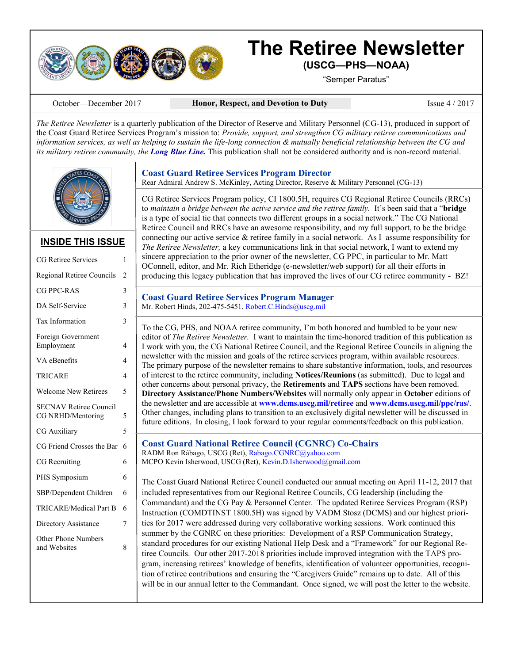

# **The Retiree Newsletter (USCG—PHS—NOAA)**

"Semper Paratus"

October—December 2017 **Honor, Respect, and Devotion to Duty** Issue 4 / 2017

*The Retiree Newsletter* is a quarterly publication of the Director of Reserve and Military Personnel (CG-13), produced in support of the Coast Guard Retiree Services Program's mission to: *Provide, support, and strengthen CG military retiree communications and information services, as well as helping to sustain the life-long connection & mutually beneficial relationship between the CG and its military retiree community, the Long Blue Line.* This publication shall not be considered authority and is non-record material.



# **INSIDE THIS ISSUE**

| <b>CG Retiree Services</b>                         | 1              |
|----------------------------------------------------|----------------|
| Regional Retiree Councils                          | $\overline{c}$ |
| CG PPC-RAS                                         | 3              |
| DA Self-Service                                    | 3              |
| <b>Tax Information</b>                             | 3              |
| Foreign Government<br>Employment                   | 4              |
| VA eBenefits                                       | $\overline{4}$ |
| TRICARE                                            | $\overline{4}$ |
| <b>Welcome New Retirees</b>                        | 5              |
| <b>SECNAV Retiree Council</b><br>CG NRHD/Mentoring | 5              |
| <b>CG Auxiliary</b>                                | 5              |
| CG Friend Crosses the Bar                          | 6              |
| CG Recruiting                                      | 6              |
| PHS Symposium                                      | 6              |
| SBP/Dependent Children                             | 6              |
| <b>TRICARE/Medical Part B</b>                      | 6              |
| Directory Assistance                               | 7              |
| <b>Other Phone Numbers</b><br>and Websites         | 8              |
|                                                    |                |
|                                                    |                |

**Coast Guard Retiree Services Program Director** 

Rear Admiral Andrew S. McKinley, Acting Director, Reserve & Military Personnel (CG-13)

CG Retiree Services Program policy, CI 1800.5H, requires CG Regional Retiree Councils (RRCs) to *maintain a bridge between the active service and the retiree family.* It's been said that a "**bridge** is a type of social tie that connects two different groups in a social network." The CG National Retiree Council and RRCs have an awesome responsibility, and my full support, to be the bridge connecting our active service  $\&$  retiree family in a social network. As I assume responsibility for *The Retiree Newsletter,* a key communications link in that social network, I want to extend my sincere appreciation to the prior owner of the newsletter, CG PPC, in particular to Mr. Matt OConnell, editor, and Mr. Rich Etheridge (e-newsletter/web support) for all their efforts in producing this legacy publication that has improved the lives of our CG retiree community - BZ!

| <b>Coast Guard Retiree Services Program Manager</b>     |  |
|---------------------------------------------------------|--|
| Mr. Robert Hinds, 202-475-5451, Robert.C.Hinds@uscg.mil |  |

To the CG, PHS, and NOAA retiree community*,* I'm both honored and humbled to be your new editor of *The Retiree Newsletter.* I want to maintain the time-honored tradition of this publication as I work with you, the CG National Retiree Council, and the Regional Retiree Councils in aligning the newsletter with the mission and goals of the retiree services program, within available resources. The primary purpose of the newsletter remains to share substantive information, tools, and resources of interest to the retiree community, including **Notices/Reunions** (as submitted). Due to legal and other concerns about personal privacy, the **Retirements** and **TAPS** sections have been removed. **Directory Assistance/Phone Numbers/Websites** will normally only appear in **October** editions of the newsletter and are accessible at **www.dcms.uscg.mil/retiree** and **www.dcms.uscg.mil/ppc/ras/**. Other changes, including plans to transition to an exclusively digital newsletter will be discussed in future editions. In closing, I look forward to your regular comments/feedback on this publication.

**Coast Guard National Retiree Council (CGNRC) Co-Chairs**  RADM Ron Rábago, USCG (Ret), Rabago.CGNRC@yahoo.com MCPO Kevin Isherwood, USCG (Ret), Kevin.D.Isherwood@gmail.com

The Coast Guard National Retiree Council conducted our annual meeting on April 11-12, 2017 that included representatives from our Regional Retiree Councils, CG leadership (including the Commandant) and the CG Pay & Personnel Center. The updated Retiree Services Program (RSP) Instruction (COMDTINST 1800.5H) was signed by VADM Stosz (DCMS) and our highest priorities for 2017 were addressed during very collaborative working sessions. Work continued this summer by the CGNRC on these priorities: Development of a RSP Communication Strategy, standard procedures for our existing National Help Desk and a "Framework" for our Regional Retiree Councils. Our other 2017-2018 priorities include improved integration with the TAPS program, increasing retirees' knowledge of benefits, identification of volunteer opportunities, recognition of retiree contributions and ensuring the "Caregivers Guide" remains up to date. All of this will be in our annual letter to the Commandant. Once signed, we will post the letter to the website.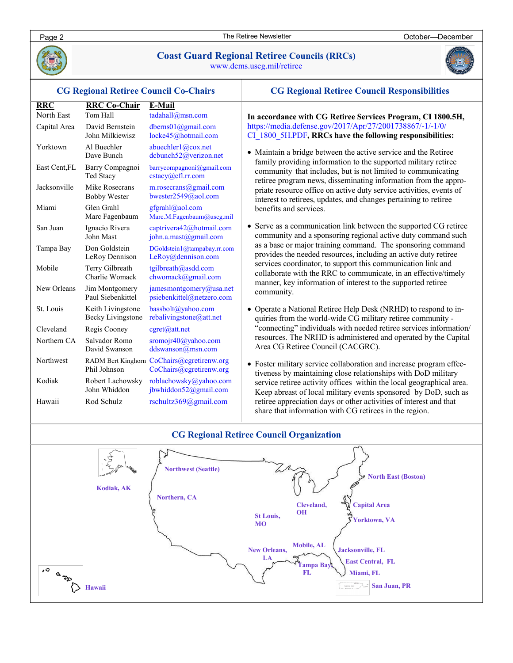

# **Coast Guard Regional Retiree Councils (RRCs)**

www.dcms.uscg.mil/retiree



#### **CG Regional Retiree Council Responsibilities** community. **RRC RRC Co-Chair E-Mail** North East Tom Hall tadahall@msn.com Capital Area David Bernstein dberns01@gmail.com John Milkiewisz locke45@hotmail.com Yorktown Al Buechler abuechler1@cox.net<br>Dave Bunch dcbunch52@verizon  $dcbunch52@verizon.net$ East Cent,FL Barry Compagnoi barrycompagnoni@gmail.com Ted Stacy cstacy@cfl.rr.com Jacksonville Mike Rosecrans m.rosecrans@gmail.com Bobby Wester bwester2549@aol.com Miami Glen Grahl gfgrahl@aol.com<br>Marc Fagenbaum Marc.M.Fagenbaum Marc.M.Fagenbaum@uscg.mil San Juan Ignacio Rivera captrivera42@hotmail.com John Mast john.a.mast@gmail.com Tampa Bay Don Goldstein DGoldstein1@tampabay.rr.com LeRoy Dennison LeRoy@dennison.com Mobile Terry Gilbreath tgilbreath@asdd.com Charlie Womack chwomack@gmail.com New Orleans Jim Montgomery jamesmontgomery@usa.net Paul Siebenkittel psiebenkittel@netzero.com St. Louis Keith Livingstone bassbolt@yahoo.com Becky Livingstone rebalivingstone@att.net Cleveland Regis Cooney cgret@att.net Northern CA Salvador Romo sromojr40@yahoo.com David Swanson ddswanson@msn.com Northwest RADM Bert Kinghorn CoChairs@cgretirenw.org Phil Johnson CoChairs@cgretirenw.org Kodiak Robert Lachowsky roblachowsky@yahoo.com John Whiddon jbwhiddon52@gmail.com Hawaii Rod Schulz rschultz369@gmail.com **CG Regional Retiree Council Co-Chairs**

# **In accordance with CG Retiree Services Program, CI 1800.5H,**

https://media.defense.gov/2017/Apr/27/2001738867/-1/-1/0/ CI\_1800\_5H.PDF**, RRCs have the following responsibilities:**

- Maintain a bridge between the active service and the Retiree family providing information to the supported military retiree community that includes, but is not limited to communicating retiree program news, disseminating information from the appropriate resource office on active duty service activities, events of interest to retirees, updates, and changes pertaining to retiree benefits and services.
- Serve as a communication link between the supported CG retiree community and a sponsoring regional active duty command such as a base or major training command. The sponsoring command provides the needed resources, including an active duty retiree services coordinator, to support this communication link and collaborate with the RRC to communicate, in an effective/timely manner, key information of interest to the supported retiree
- Operate a National Retiree Help Desk (NRHD) to respond to inquiries from the world-wide CG military retiree community - "connecting" individuals with needed retiree services information/ resources. The NRHD is administered and operated by the Capital Area CG Retiree Council (CACGRC).
- Foster military service collaboration and increase program effectiveness by maintaining close relationships with DoD military service retiree activity offices within the local geographical area. Keep abreast of local military events sponsored by DoD, such as retiree appreciation days or other activities of interest and that share that information with CG retirees in the region.

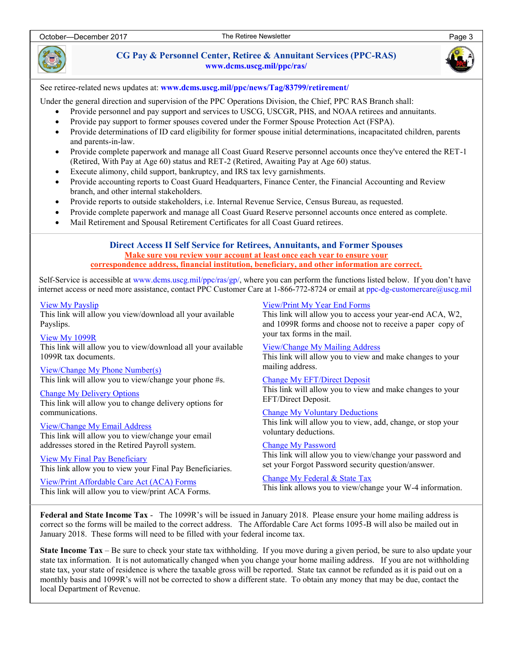

**CG Pay & Personnel Center, Retiree & Annuitant Services (PPC-RAS) www.dcms.uscg.mil/ppc/ras/** 



See retiree-related news updates at: **www.dcms.uscg.mil/ppc/news/Tag/83799/retirement/** 

Under the general direction and supervision of the PPC Operations Division, the Chief, PPC RAS Branch shall:

- Provide personnel and pay support and services to USCG, USCGR, PHS, and NOAA retirees and annuitants.
- Provide pay support to former spouses covered under the Former Spouse Protection Act (FSPA).
- Provide determinations of ID card eligibility for former spouse initial determinations, incapacitated children, parents and parents-in-law.
- Provide complete paperwork and manage all Coast Guard Reserve personnel accounts once they've entered the RET-1 (Retired, With Pay at Age 60) status and RET-2 (Retired, Awaiting Pay at Age 60) status.
- Execute alimony, child support, bankruptcy, and IRS tax levy garnishments.
- Provide accounting reports to Coast Guard Headquarters, Finance Center, the Financial Accounting and Review branch, and other internal stakeholders.
- Provide reports to outside stakeholders, i.e. Internal Revenue Service, Census Bureau, as requested.
- Provide complete paperwork and manage all Coast Guard Reserve personnel accounts once entered as complete.
- Mail Retirement and Spousal Retirement Certificates for all Coast Guard retirees.

**Direct Access II Self Service for Retirees, Annuitants, and Former Spouses Make sure you review your account at least once each year to ensure your correspondence address, financial institution, beneficiary, and other information are correct.** 

Self-Service is accessible at www.dcms.uscg.mil/ppc/ras/gp/, where you can perform the functions listed below. If you don't have internet access or need more assistance, contact PPC Customer Care at 1-866-772-8724 or email at ppc-dg-customercare@uscg.mil

[View My Payslip](https://portal.direct-access.us/psp/EPPRD/EMPLOYEE/HRMS/c/CG_HRMS_EXT_(GBL).CG_GP_SS_EE_PSLP.GBL?PORTALPARAM_PTCNAV=CG_GP_SS_EE_PSLP_GBL&EOPP.SCNode=EMPL&EOPP.SCPortal=EMPLOYEE&EOPP.SCName=ADMN_CG_RETIRED_PAY_SELF_SERVI&EOPP.SCLabel=CG%20Retired%20Pay%20Self%) 

This link will allow you view/download all your available Payslips.

[View My 1099R](https://portal.direct-access.us/psp/EPPRD/EMPLOYEE/HRMS/c/CG_HRMS_EXT_(GBL).CG_GP_SS_EE_1099R.GBL?PORTALPARAM_PTCNAV=CG_GP_SS_EE_1099R_GBL&EOPP.SCNode=EMPL&EOPP.SCPortal=EMPLOYEE&EOPP.SCName=ADMN_CG_RETIRED_PAY_SELF_SERVI&EOPP.SCLabel=CG%20Retired%20Pay%20Sel)  This link will allow you to view/download all your available 1099R tax documents.

[View/Change My Phone Number\(s\)](https://portal.direct-access.us/psp/EPPRD/EMPLOYEE/HRMS/c/CG_HRMS_EXT_(GBL).CG_PERSONAL_PHONE.GBL?PORTALPARAM_PTCNAV=CG_PERSONAL_PHONE_GBL&EOPP.SCNode=EMPL&EOPP.SCPortal=EMPLOYEE&EOPP.SCName=ADMN_CG_RETIRED_PAY_SELF_SERVI&EOPP.SCLabel=CG%20Retired%20Pay%20Sel) 

This link will allow you to view/change your phone #s.

[Change My Delivery Options](https://portal.direct-access.us/psp/EPPRD/EMPLOYEE/HRMS/c/CG_HRMS_EXT_(GBL).CG_GP_SS_EE_DELOPT.GBL?PORTALPARAM_PTCNAV=CG_GP_SS_EE_OPTOUT_GBL&EOPP.SCNode=EMPL&EOPP.SCPortal=EMPLOYEE&EOPP.SCName=ADMN_CG_RETIRED_PAY_SELF_SERVI&EOPP.SCLabel=CG%20Retired%20Pay%20S)  This link will allow you to change delivery options for communications.

[View/Change My Email Address](https://portal.direct-access.us/psp/EPPRD/EMPLOYEE/EMPL/c/CG_PORTAL_EXTENSIONS.CG_SS_EMAIL.GBL?PORTALPARAM_PTCNAV=CG_SS_EMAIL&EOPP.SCNode=EMPL&EOPP.SCPortal=EMPLOYEE&EOPP.SCName=ADMN_CG_RETIRED_PAY_SELF_SERVI&EOPP.SCLabel=CG%20Retired%20Pay%20Self%20Service&E)  This link will allow you to view/change your email addresses stored in the Retired Payroll system.

[View My Final Pay Beneficiary](https://portal.direct-access.us/psp/EPPRD/EMPLOYEE/HRMS/c/CG_HRMS_EXT_(GBL).CG_SS_FIN_BENEF.GBL?PORTALPARAM_PTCNAV=CG_SS_FINAL_BENEF_GBL&EOPP.SCNode=EMPL&EOPP.SCPortal=EMPLOYEE&EOPP.SCName=ADMN_CG_RETIRED_PAY_SELF_SERVI&EOPP.SCLabel=CG%20Retired%20Pay%20Self%)  This link allow you to view your Final Pay Beneficiaries.

[View/Print Affordable Care Act \(ACA\) Forms](https://portal.direct-access.us/psp/EPPRD/EMPLOYEE/PSFT_HR/c/CG_HRMS_EXT_(GBL).CG_SS_ACA_FORMS.GBL?PORTALPARAM_PTCNAV=CG_SS_ACA_FORMS_GBL&EOPP.SCNode=EMPL&EOPP.SCPortal=EMPLOYEE&EOPP.SCName=ADMN_CG_RETIRED_PAY_SELF_SERVI&EOPP.SCLabel=CG%20Retired%20Pay%20Self)  This link will allow you to view/print ACA Forms. [View/Print My Year End Forms](https://portal.direct-access.us/psp/EPPRD/EMPLOYEE/HRMS/c/CG_HRMS_EXT_(GBL).PY_SS_YE_CONS_USA.GBL?PORTALPARAM_PTCNAV=PY_SS_YE_CONS_USA_GBL&EOPP.SCNode=EMPL&EOPP.SCPortal=EMPLOYEE&EOPP.SCName=ADMN_CG_RETIRED_PAY_SELF_SERVI&EOPP.SCLabel=CG%20Retired%20Pay%20Sel) 

This link will allow you to access your year-end ACA, W2, and 1099R forms and choose not to receive a paper copy of your tax forms in the mail.

[View/Change My Mailing Address](https://portal.direct-access.us/psp/EPPRD/EMPLOYEE/HRMS/c/CG_HRMS_EXT_(GBL).CG_HR_HOME_MAILING.GBL?PORTALPARAM_PTCNAV=CG_HR_HOME_MAILING_GBL&EOPP.SCNode=EMPL&EOPP.SCPortal=EMPLOYEE&EOPP.SCName=ADMN_CG_RETIRED_PAY_SELF_SERVI&EOPP.SCLabel=CG%20Retired%20Pay%20S)  This link will allow you to view and make changes to your mailing address.

[Change My EFT/Direct Deposit](https://portal.direct-access.us/psp/EPPRD/EMPLOYEE/HRMS/c/CG_HRMS_EXT_(GBL).CG_GP_SS_EE_NPD.GBL?PORTALPARAM_PTCNAV=CG_GP_SS_EE_NPD_GBL&EOPP.SCNode=EMPL&EOPP.SCPortal=EMPLOYEE&EOPP.SCName=ADMN_CG_RETIRED_PAY_SELF_SERVI&EOPP.SCLabel=CG%20Retired%20Pay%20Self%20)  This link will allow you to view and make changes to your EFT/Direct Deposit.

[Change My Voluntary Deductions](https://portal.direct-access.us/psp/EPPRD/EMPLOYEE/HRMS/c/CG_HRMS_EXT_(GBL).CG_GP_SS_ERNDED.GBL?PORTALPARAM_PTCNAV=CG_GP_SS_ERNDED_GBL&EOPP.SCNode=EMPL&EOPP.SCPortal=EMPLOYEE&EOPP.SCName=ADMN_CG_RETIRED_PAY_SELF_SERVI&EOPP.SCLabel=CG%20Retired%20Pay%20Self%20)  This link will allow you to view, add, change, or stop your voluntary deductions.

[Change My Password](https://portal.direct-access.us/psp/EPPRD/EMPLOYEE/EMPL/c/MAINTAIN_SECURITY.CHANGE_PASSWORD.GBL?PORTALPARAM_PTCNAV=PT_CHANGE_PASSWORD_GBL&EOPP.SCNode=EMPL&EOPP.SCPortal=EMPLOYEE&EOPP.SCName=ADMN_CG_RETIRED_PAY_SELF_SERVI&EOPP.SCLabel=CG%20Retired%20Pay%20Self)  This link will allow you to view/change your password and set your Forgot Password security question/answer.

[Change My Federal & State Tax](https://portal.direct-access.us/psp/EPPRD/EMPLOYEE/HRMS/c/ROLE_EMPLOYEE.GPUS_W4_DATA.GBL?PORTALPARAM_PTCNAV=HC_GPUS_W4_DATA_GBL&EOPP.SCNode=EMPL&EOPP.SCPortal=EMPLOYEE&EOPP.SCName=ADMN_CG_RETIRED_PAY_SELF_SERVI&EOPP.SCLabel=CG%20Retired%20Pay%20Self%20Service)  This link allows you to view/change your W-4 information.

**Federal and State Income Tax** - The 1099R's will be issued in January 2018. Please ensure your home mailing address is correct so the forms will be mailed to the correct address. The Affordable Care Act forms 1095-B will also be mailed out in January 2018. These forms will need to be filled with your federal income tax.

**State Income Tax** – Be sure to check your state tax withholding. If you move during a given period, be sure to also update your state tax information. It is not automatically changed when you change your home mailing address. If you are not withholding state tax, your state of residence is where the taxable gross will be reported. State tax cannot be refunded as it is paid out on a monthly basis and 1099R's will not be corrected to show a different state. To obtain any money that may be due, contact the local Department of Revenue.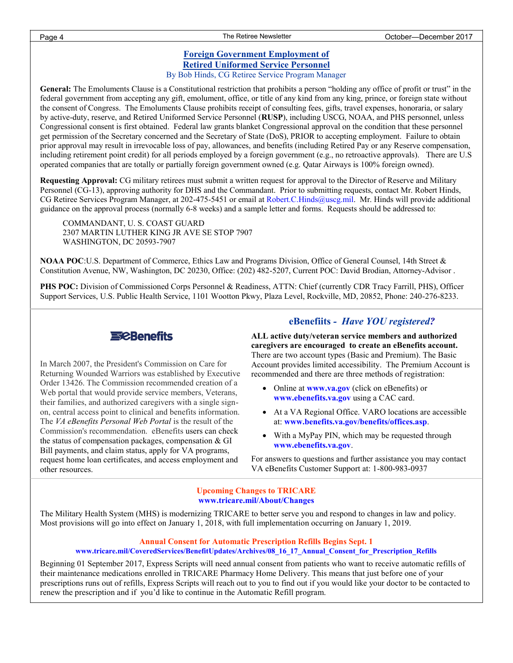#### **Foreign Government Employment of Retired Uniformed Service Personnel** By Bob Hinds, CG Retiree Service Program Manager

**General:** The Emoluments Clause is a Constitutional restriction that prohibits a person "holding any office of profit or trust" in the federal government from accepting any gift, emolument, office, or title of any kind from any king, prince, or foreign state without the consent of Congress. The Emoluments Clause prohibits receipt of consulting fees, gifts, travel expenses, honoraria, or salary by active-duty, reserve, and Retired Uniformed Service Personnel (**RUSP**), including USCG, NOAA, and PHS personnel, unless Congressional consent is first obtained. Federal law grants blanket Congressional approval on the condition that these personnel get permission of the Secretary concerned and the Secretary of State (DoS), PRIOR to accepting employment. Failure to obtain prior approval may result in irrevocable loss of pay, allowances, and benefits (including Retired Pay or any Reserve compensation, including retirement point credit) for all periods employed by a foreign government (e.g., no retroactive approvals). There are U.S operated companies that are totally or partially foreign government owned (e.g. Qatar Airways is 100% foreign owned).

**Requesting Approval:** CG military retirees must submit a written request for approval to the Director of Reserve and Military Personnel (CG-13), approving authority for DHS and the Commandant. Prior to submitting requests, contact Mr. Robert Hinds, CG Retiree Services Program Manager, at 202-475-5451 or email at [Robert.C.Hinds@uscg.mil.](mailto:Robert.C.Hinds@uscg.mil) Mr. Hinds will provide additional guidance on the approval process (normally 6-8 weeks) and a sample letter and forms. Requests should be addressed to:

COMMANDANT, U. S. COAST GUARD 2307 MARTIN LUTHER KING JR AVE SE STOP 7907 WASHINGTON, DC 20593-7907

**NOAA POC**:U.S. Department of Commerce, Ethics Law and Programs Division, Office of General Counsel, 14th Street & Constitution Avenue, NW, Washington, DC 20230, Office: (202) 482-5207, Current POC: David Brodian, Attorney-Advisor .

**PHS POC:** Division of Commissioned Corps Personnel & Readiness, ATTN: Chief (currently CDR Tracy Farrill, PHS), Officer Support Services, U.S. Public Health Service, 1101 Wootton Pkwy, Plaza Level, Rockville, MD, 20852, Phone: 240-276-8233.



In March 2007, the President's Commission on Care for Returning Wounded Warriors was established by Executive Order 13426. The Commission recommended creation of a Web portal that would provide service members, Veterans, their families, and authorized caregivers with a single signon, central access point to clinical and benefits information. The *VA eBenefits Personal Web Portal* is the result of the Commission's recommendation. eBenefits users can check the status of compensation packages, compensation & GI Bill payments, and claim status, apply for VA programs, request home loan certificates, and access employment and other resources.

# **eBenefiits** *- Have YOU registered?*

**ALL active duty/veteran service members and authorized caregivers are encouraged to create an eBenefits account.**  There are two account types (Basic and Premium). The Basic Account provides limited accessibility. The Premium Account is recommended and there are three methods of registration:

- Online at **www.va.gov** (click on eBenefits) or **www.ebenefits.va.gov** using a CAC card.
- At a VA Regional Office. VARO locations are accessible at: **www.benefits.va.gov/benefits/offices.asp**.
- With a MyPay PIN, which may be requested through **www.ebenefits.va.gov**.

For answers to questions and further assistance you may contact VA eBenefits Customer Support at: 1-800-983-0937

#### **Upcoming Changes to TRICARE www.tricare.mil/About/Changes**

The Military Health System (MHS) is modernizing TRICARE to better serve you and respond to changes in law and policy. Most provisions will go into effect on January 1, 2018, with full implementation occurring on January 1, 2019.

#### **Annual Consent for Automatic Prescription Refills Begins Sept. 1**

#### **www.tricare.mil/CoveredServices/BenefitUpdates/Archives/08\_16\_17\_Annual\_Consent\_for\_Prescription\_Refills**

Beginning 01 September 2017, Express Scripts will need annual consent from patients who want to receive automatic refills of their maintenance medications enrolled in TRICARE Pharmacy Home Delivery. This means that just before one of your prescriptions runs out of refills, Express Scripts will reach out to you to find out if you would like your doctor to be contacted to renew the prescription and if you'd like to continue in the Automatic Refill program.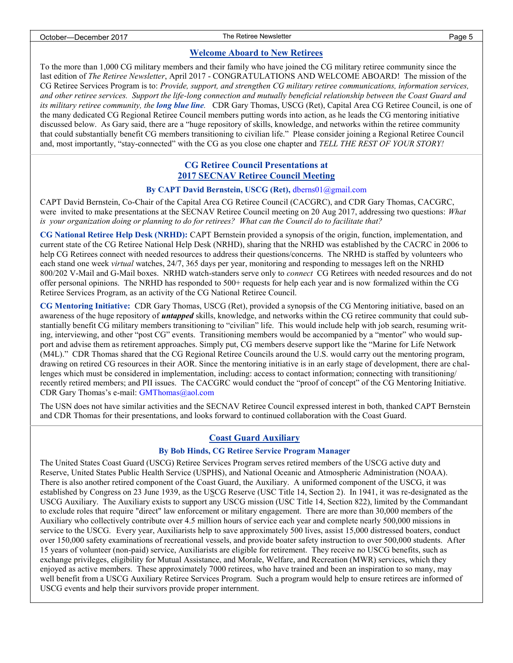#### **Welcome Aboard to New Retirees**

To the more than 1,000 CG military members and their family who have joined the CG military retiree community since the last edition of *The Retiree Newsletter*, April 2017 - CONGRATULATIONS AND WELCOME ABOARD! The mission of the CG Retiree Services Program is to: *Provide, support, and strengthen CG military retiree communications, information services, and other retiree services. Support the life-long connection and mutually beneficial relationship between the Coast Guard and its military retiree community, the long blue line.* CDR Gary Thomas, USCG (Ret), Capital Area CG Retiree Council, is one of the many dedicated CG Regional Retiree Council members putting words into action, as he leads the CG mentoring initiative discussed below. As Gary said, there are a "huge repository of skills, knowledge, and networks within the retiree community that could substantially benefit CG members transitioning to civilian life." Please consider joining a Regional Retiree Council and, most importantly, "stay-connected" with the CG as you close one chapter and *TELL THE REST OF YOUR STORY!* 

# **CG Retiree Council Presentations at 2017 SECNAV Retiree Council Meeting**

#### **By CAPT David Bernstein, USCG (Ret),** dberns01@gmail.com

CAPT David Bernstein, Co-Chair of the Capital Area CG Retiree Council (CACGRC), and CDR Gary Thomas, CACGRC, were invited to make presentations at the SECNAV Retiree Council meeting on 20 Aug 2017, addressing two questions: *What is your organization doing or planning to do for retirees? What can the Council do to facilitate that?* 

**CG National Retiree Help Desk (NRHD):** CAPT Bernstein provided a synopsis of the origin, function, implementation, and current state of the CG Retiree National Help Desk (NRHD), sharing that the NRHD was established by the CACRC in 2006 to help CG Retirees connect with needed resources to address their questions/concerns. The NRHD is staffed by volunteers who each stand one week *virtual* watches, 24/7, 365 days per year, monitoring and responding to messages left on the NRHD 800/202 V-Mail and G-Mail boxes. NRHD watch-standers serve only to *connect* CG Retirees with needed resources and do not offer personal opinions. The NRHD has responded to 500+ requests for help each year and is now formalized within the CG Retiree Services Program, as an activity of the CG National Retiree Council.

**CG Mentoring Initiative:** CDR Gary Thomas, USCG (Ret), provided a synopsis of the CG Mentoring initiative, based on an awareness of the huge repository of *untapped* skills, knowledge, and networks within the CG retiree community that could substantially benefit CG military members transitioning to "civilian" life. This would include help with job search, resuming writing, interviewing, and other "post CG" events. Transitioning members would be accompanied by a "mentor" who would support and advise them as retirement approaches. Simply put, CG members deserve support like the "Marine for Life Network (M4L)." CDR Thomas shared that the CG Regional Retiree Councils around the U.S. would carry out the mentoring program, drawing on retired CG resources in their AOR. Since the mentoring initiative is in an early stage of development, there are challenges which must be considered in implementation, including: access to contact information; connecting with transitioning/ recently retired members; and PII issues. The CACGRC would conduct the "proof of concept" of the CG Mentoring Initiative. CDR Gary Thomas's e-mail: GMThomas@aol.com

The USN does not have similar activities and the SECNAV Retiree Council expressed interest in both, thanked CAPT Bernstein and CDR Thomas for their presentations, and looks forward to continued collaboration with the Coast Guard.

### **Coast Guard Auxiliary**

#### **By Bob Hinds, CG Retiree Service Program Manager**

The United States Coast Guard (USCG) Retiree Services Program serves retired members of the USCG active duty and Reserve, United States Public Health Service (USPHS), and National Oceanic and Atmospheric Administration (NOAA). There is also another retired component of the Coast Guard, the Auxiliary. A [uniformed component](https://en.wikipedia.org/wiki/Auxiliaries) of the USCG, it was established by Congress on 23 June 1939, as the U[SCG Reserve](https://en.wikipedia.org/wiki/United_States_Coast_Guard_Reserve) (USC Title 14, Section 2). In 1941, it was re-designated as the USCG Auxiliary. The Auxiliary exists to support any USCG mission (USC Title 14, Section 822), limited by the Commandant to exclude roles that require "direct" law enforcement or military engagement. There are more than 30,000 members of the Auxiliary who collectively contribute over 4.5 million hours of service each year and complete nearly 500,000 missions in service to the USCG. Every year, Auxiliarists help to save approximately 500 lives, assist 15,000 distressed boaters, conduct over 150,000 safety examinations of recreational vessels, and provide boater safety instruction to over 500,000 students. After 15 years of volunteer (non-paid) service, Auxiliarists are eligible for retirement. They receive no USCG benefits, such as exchange privileges, eligibility for Mutual Assistance, and Morale, Welfare, and Recreation (MWR) services, which they enjoyed as active members. These approximately 7000 retirees, who have trained and been an inspiration to so many, may well benefit from a USCG Auxiliary Retiree Services Program. Such a program would help to ensure retirees are informed of USCG events and help their survivors provide proper internment.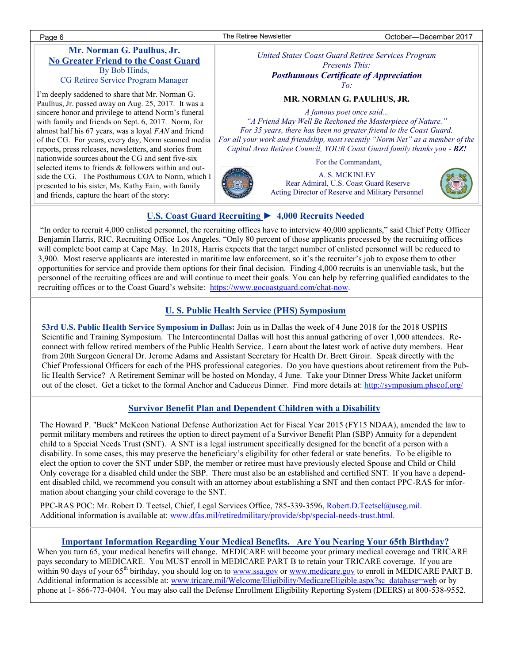# **Mr. Norman G. Paulhus, Jr. No Greater Friend to the Coast Guard** By Bob Hinds,

CG Retiree Service Program Manager

I'm deeply saddened to share that Mr. Norman G. Paulhus, Jr. passed away on Aug. 25, 2017. It was a sincere honor and privilege to attend Norm's funeral with family and friends on Sept. 6, 2017. Norm, for almost half his 67 years, was a loyal *FAN* and friend of the CG. For years, every day, Norm scanned media reports, press releases, newsletters, and stories from nationwide sources about the CG and sent five-six selected items to friends & followers within and outside the CG. The Posthumous COA to Norm, which I presented to his sister, Ms. Kathy Fain, with family and friends, capture the heart of the story:

*United States Coast Guard Retiree Services Program Presents This: Posthumous Certificate of Appreciation*

*To:*

#### **MR. NORMAN G. PAULHUS, JR.**

*A famous poet once said... "A Friend May Well Be Reckoned the Masterpiece of Nature."* 

*For 35 years, there has been no greater friend to the Coast Guard. For all your work and friendship, most recently "Norm Net" as a member of the Capital Area Retiree Council, YOUR Coast Guard family thanks you - BZ!*

For the Commandant,



A. S. MCKINLEY Rear Admiral, U.S. Coast Guard Reserve Acting Director of Reserve and Military Personnel



# **U.S. Coast Guard Recruiting ► 4,000 Recruits Needed**

"In order to recruit 4,000 enlisted personnel, the recruiting offices have to interview 40,000 applicants," said Chief Petty Officer Benjamin Harris, RIC, Recruiting Office Los Angeles. "Only 80 percent of those applicants processed by the recruiting offices will complete boot camp at Cape May. In 2018, Harris expects that the target number of enlisted personnel will be reduced to 3,900. Most reserve applicants are interested in maritime law enforcement, so it's the recruiter's job to expose them to other opportunities for service and provide them options for their final decision. Finding 4,000 recruits is an unenviable task, but the personnel of the recruiting offices are and will continue to meet their goals. You can help by referring qualified candidates to the recruiting offices or to the Coast Guard's website: [https://www.gocoastguard.com/chat-now.](https://www.gocoastguard.com/chat-now)

### **U. S. Public Health Service (PHS) Symposium**

**53rd U.S. Public Health Service Symposium in Dallas:** Join us in Dallas the week of 4 June 2018 for the 2018 USPHS Scientific and Training Symposium. The Intercontinental Dallas will host this annual gathering of over 1,000 attendees. Reconnect with fellow retired members of the Public Health Service. Learn about the latest work of active duty members. Hear from 20th Surgeon General Dr. Jerome Adams and Assistant Secretary for Health Dr. Brett Giroir. Speak directly with the Chief Professional Officers for each of the PHS professional categories. Do you have questions about retirement from the Public Health Service? A Retirement Seminar will be hosted on Monday, 4 June. Take your Dinner Dress White Jacket uniform out of the closet. Get a ticket to the formal Anchor and Caduceus Dinner. Find more details at: [http://symposium.phscof.org/](https://urldefense.proofpoint.com/v2/url?u=http-3A__symposium.phscof.org_&d=DwMF-g&c=0NKfg44GVknAU-XkWXjNxQ&r=8f34AzkPGUyoG_RgO1p8Skqe3LdTjdbk9qDKSE-nyaA&m=Co2Nx4aBf9VCkwCwRQAkWcp68EwDF-NXmc39ssiO-_E&s=9QeXNKG4tNxigcY5ojAypl_d3TzEViNlvN1R6sJyt0U&e=)

### **Survivor Benefit Plan and Dependent Children with a Disability**

The Howard P. "Buck" McKeon National Defense Authorization Act for Fiscal Year 2015 (FY15 NDAA), amended the law to permit military members and retirees the option to direct payment of a Survivor Benefit Plan (SBP) Annuity for a dependent child to a Special Needs Trust (SNT). A SNT is a legal instrument specifically designed for the benefit of a person with a disability. In some cases, this may preserve the beneficiary's eligibility for other federal or state benefits. To be eligible to elect the option to cover the SNT under SBP, the member or retiree must have previously elected Spouse and Child or Child Only coverage for a disabled child under the SBP. There must also be an established and certified SNT. If you have a dependent disabled child, we recommend you consult with an attorney about establishing a SNT and then contact PPC-RAS for information about changing your child coverage to the SNT.

PPC-RAS POC: Mr. Robert D. Teetsel, Chief, Legal Services Office, 785-339-3596, [Robert.D.Teetsel@uscg.mil.](mailto:Robert.D.Teetsel@uscg.mil)  Additional information is available at: www.dfas.mil/retiredmilitary/provide/sbp/special-needs-trust.html.

#### **Important Information Regarding Your Medical Benefits. Are You Nearing Your 65th Birthday?**

When you turn 65, your medical benefits will change. MEDICARE will become your primary medical coverage and TRICARE pays secondary to MEDICARE. You MUST enroll in MEDICARE PART B to retain your TRICARE coverage. If you are within 90 days of your 65<sup>th</sup> birthday, you should log on to [www.ssa.gov](http://www.ssa.gov) or [www.medicare.gov](http://www.medicare.gov) to enroll in MEDICARE PART B. Additional information is accessible at: [www.tricare.mil/Welcome/Eligibility/MedicareEligible.aspx?sc\\_database=web](http://www.tricare.mil/Welcome/Eligibility/MedicareEligible.aspx?sc_database=web) or by phone at 1- 866-773-0404. You may also call the Defense Enrollment Eligibility Reporting System (DEERS) at 800-538-9552.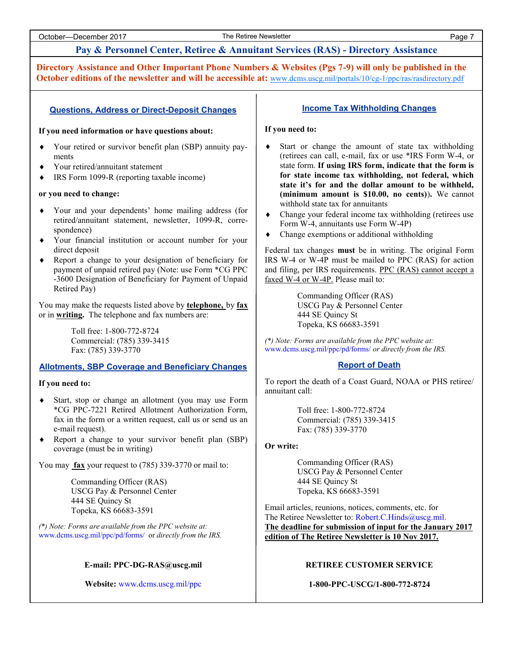# **Pay & Personnel Center, Retiree & Annuitant Services (RAS) - Directory Assistance**

**Directory Assistance and Other Important Phone Numbers & Websites (Pgs 7-9) will only be published in the October editions of the newsletter and will be accessible at:** [www.dcms.uscg.mil/portals/10/cg-1/ppc/ras/rasdirectory.pdf](http://www.dcms.uscg.mil/portals/10/cg-1/ppc/ras/rasdirectory.pdf)

#### **Questions, Address or Direct-Deposit Changes**

#### **If you need information or have questions about:**

- Your retired or survivor benefit plan (SBP) annuity payments
- Your retired/annuitant statement
- IRS Form 1099-R (reporting taxable income)

#### **or you need to change:**

- Your and your dependents' home mailing address (for retired/annuitant statement, newsletter, 1099-R, correspondence)
- Your financial institution or account number for your direct deposit
- Report a change to your designation of beneficiary for payment of unpaid retired pay (Note: use Form \*CG PPC -3600 Designation of Beneficiary for Payment of Unpaid Retired Pay)

You may make the requests listed above by **telephone,** by **fax** or in **writing.** The telephone and fax numbers are:

> Toll free: 1-800-772-8724 Commercial: (785) 339-3415 Fax: (785) 339-3770

#### **Allotments, SBP Coverage and Beneficiary Changes**

#### **If you need to:**

- Start, stop or change an allotment (you may use Form \*CG PPC-7221 Retired Allotment Authorization Form, fax in the form or a written request, call us or send us an e-mail request).
- Report a change to your survivor benefit plan (SBP) coverage (must be in writing)

You may **fax** your request to (785) 339-3770 or mail to:

Commanding Officer (RAS) USCG Pay & Personnel Center 444 SE Quincy St Topeka, KS 66683-3591

*(\*) Note: Forms are available from the PPC website at:*  www.dcms.uscg.mil/ppc/pd/forms/ or *directly from the IRS.*

#### **E-mail: PPC-DG-RAS@uscg.mil**

**Website:** www.dcms.uscg.mil/ppc

#### **Income Tax Withholding Changes**

#### **If you need to:**

- Start or change the amount of state tax withholding (retirees can call, e-mail, fax or use \*IRS Form W-4, or state form. **If using IRS form, indicate that the form is for state income tax withholding, not federal, which state it's for and the dollar amount to be withheld, (minimum amount is \$10.00, no cents)**)**.** We cannot withhold state tax for annuitants
- Change your federal income tax withholding (retirees use Form W-4, annuitants use Form W-4P)
- Change exemptions or additional withholding

Federal tax changes **must** be in writing. The original Form IRS W-4 or W-4P must be mailed to PPC (RAS) for action and filing, per IRS requirements. PPC (RAS) cannot accept a faxed W-4 or W-4P. Please mail to:

> Commanding Officer (RAS) USCG Pay & Personnel Center 444 SE Quincy St Topeka, KS 66683-3591

*(\*) Note: Forms are available from the PPC website at:*  www.dcms.uscg.mil/ppc/pd/forms/ *or directly from the IRS.*

#### **Report of Death**

To report the death of a Coast Guard, NOAA or PHS retiree/ annuitant call:

> Toll free: 1-800-772-8724 Commercial: (785) 339-3415 Fax: (785) 339-3770

#### **Or write:**

Commanding Officer (RAS) USCG Pay & Personnel Center 444 SE Quincy St Topeka, KS 66683-3591

Email articles, reunions, notices, comments, etc. for The Retiree Newsletter to: Robert.C.Hinds@uscg.mil. **The deadline for submission of input for the January 2017 edition of The Retiree Newsletter is 10 Nov 2017.**

#### **RETIREE CUSTOMER SERVICE**

#### **1-800-PPC-USCG/1-800-772-8724**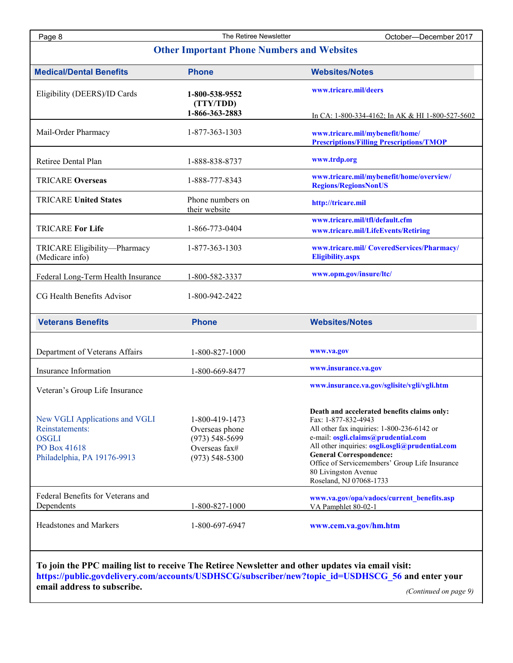Page 8 The Retiree Newsletter **Newsletter** October—December 2017

| <b>Medical/Dental Benefits</b>                                                                                   | <b>Phone</b>                                                                                  | <b>Websites/Notes</b>                                                                                                                                                                                                                                                                                                                             |
|------------------------------------------------------------------------------------------------------------------|-----------------------------------------------------------------------------------------------|---------------------------------------------------------------------------------------------------------------------------------------------------------------------------------------------------------------------------------------------------------------------------------------------------------------------------------------------------|
| Eligibility (DEERS)/ID Cards                                                                                     | 1-800-538-9552<br>(TTY/TDD)                                                                   | www.tricare.mil/deers                                                                                                                                                                                                                                                                                                                             |
|                                                                                                                  | 1-866-363-2883                                                                                | In CA: 1-800-334-4162; In AK & HI 1-800-527-5602                                                                                                                                                                                                                                                                                                  |
| Mail-Order Pharmacy                                                                                              | 1-877-363-1303                                                                                | www.tricare.mil/mybenefit/home/<br><b>Prescriptions/Filling Prescriptions/TMOP</b>                                                                                                                                                                                                                                                                |
| Retiree Dental Plan                                                                                              | 1-888-838-8737                                                                                | www.trdp.org                                                                                                                                                                                                                                                                                                                                      |
| <b>TRICARE Overseas</b>                                                                                          | 1-888-777-8343                                                                                | www.tricare.mil/mybenefit/home/overview/<br><b>Regions/RegionsNonUS</b>                                                                                                                                                                                                                                                                           |
| <b>TRICARE United States</b>                                                                                     | Phone numbers on<br>their website                                                             | http://tricare.mil                                                                                                                                                                                                                                                                                                                                |
|                                                                                                                  |                                                                                               | www.tricare.mil/tfl/default.cfm                                                                                                                                                                                                                                                                                                                   |
| <b>TRICARE For Life</b>                                                                                          | 1-866-773-0404                                                                                | www.tricare.mil/LifeEvents/Retiring                                                                                                                                                                                                                                                                                                               |
| TRICARE Eligibility-Pharmacy<br>(Medicare info)                                                                  | 1-877-363-1303                                                                                | www.tricare.mil/ CoveredServices/Pharmacy/<br><b>Eligibility.aspx</b>                                                                                                                                                                                                                                                                             |
| Federal Long-Term Health Insurance                                                                               | 1-800-582-3337                                                                                | www.opm.gov/insure/ltc/                                                                                                                                                                                                                                                                                                                           |
| CG Health Benefits Advisor                                                                                       | 1-800-942-2422                                                                                |                                                                                                                                                                                                                                                                                                                                                   |
| <b>Veterans Benefits</b>                                                                                         | <b>Phone</b>                                                                                  | <b>Websites/Notes</b>                                                                                                                                                                                                                                                                                                                             |
| Department of Veterans Affairs                                                                                   | 1-800-827-1000                                                                                | www.va.gov                                                                                                                                                                                                                                                                                                                                        |
|                                                                                                                  |                                                                                               |                                                                                                                                                                                                                                                                                                                                                   |
|                                                                                                                  | 1-800-669-8477                                                                                | www.insurance.va.gov                                                                                                                                                                                                                                                                                                                              |
| Insurance Information<br>Veteran's Group Life Insurance                                                          |                                                                                               | www.insurance.va.gov/sglisite/vgli/vgli.htm                                                                                                                                                                                                                                                                                                       |
| New VGLI Applications and VGLI<br>Reinstatements:<br><b>OSGLI</b><br>PO Box 41618<br>Philadelphia, PA 19176-9913 | 1-800-419-1473<br>Overseas phone<br>$(973) 548 - 5699$<br>Overseas fax#<br>$(973) 548 - 5300$ | Death and accelerated benefits claims only:<br>Fax: 1-877-832-4943<br>All other fax inquiries: 1-800-236-6142 or<br>e-mail: osgli.claims@prudential.com<br>All other inquiries: osgli.osgli@prudential.com<br><b>General Correspondence:</b><br>Office of Servicemembers' Group Life Insurance<br>80 Livingston Avenue<br>Roseland, NJ 07068-1733 |
| Federal Benefits for Veterans and<br>Dependents                                                                  | 1-800-827-1000                                                                                | www.va.gov/opa/vadocs/current_benefits.asp<br>VA Pamphlet 80-02-1                                                                                                                                                                                                                                                                                 |

**https://public.govdelivery.com/accounts/USDHSCG/subscriber/new?topic\_id=USDHSCG\_56 and enter your** 

**email address to subscribe.**

*(Continued on page 9)*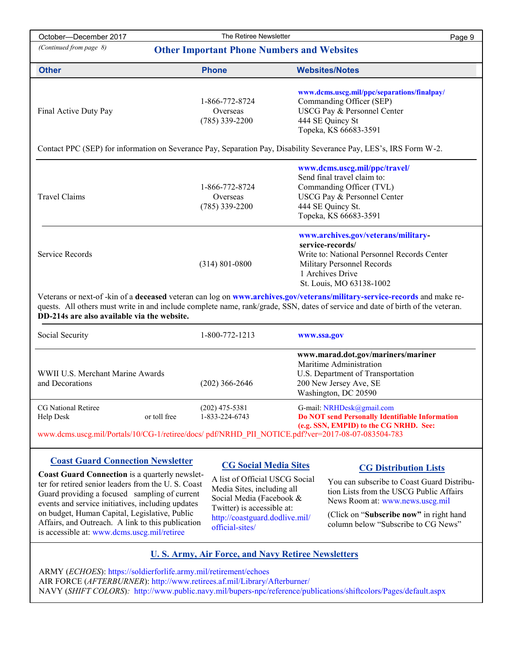| October-December 2017                                                                                                                                                                                                                                                                                      |              | The Retiree Newsletter                         | Page 9                                                                                                                                                                                                                            |  |  |
|------------------------------------------------------------------------------------------------------------------------------------------------------------------------------------------------------------------------------------------------------------------------------------------------------------|--------------|------------------------------------------------|-----------------------------------------------------------------------------------------------------------------------------------------------------------------------------------------------------------------------------------|--|--|
| (Continued from page 8)<br><b>Other Important Phone Numbers and Websites</b>                                                                                                                                                                                                                               |              |                                                |                                                                                                                                                                                                                                   |  |  |
| <b>Other</b>                                                                                                                                                                                                                                                                                               |              | <b>Phone</b>                                   | <b>Websites/Notes</b>                                                                                                                                                                                                             |  |  |
| Final Active Duty Pay                                                                                                                                                                                                                                                                                      |              | 1-866-772-8724<br>Overseas<br>$(785)$ 339-2200 | www.dcms.uscg.mil/ppc/separations/finalpay/<br>Commanding Officer (SEP)<br>USCG Pay & Personnel Center<br>444 SE Quincy St<br>Topeka, KS 66683-3591                                                                               |  |  |
| Contact PPC (SEP) for information on Severance Pay, Separation Pay, Disability Severance Pay, LES's, IRS Form W-2.                                                                                                                                                                                         |              |                                                |                                                                                                                                                                                                                                   |  |  |
| <b>Travel Claims</b>                                                                                                                                                                                                                                                                                       |              | 1-866-772-8724<br>Overseas<br>$(785)$ 339-2200 | www.dcms.uscg.mil/ppc/travel/<br>Send final travel claim to:<br>Commanding Officer (TVL)<br>USCG Pay & Personnel Center<br>444 SE Quincy St.<br>Topeka, KS 66683-3591                                                             |  |  |
| Service Records                                                                                                                                                                                                                                                                                            |              | $(314) 801 - 0800$                             | www.archives.gov/veterans/military-<br>service-records/<br>Write to: National Personnel Records Center<br>Military Personnel Records<br>1 Archives Drive<br>St. Louis, MO 63138-1002                                              |  |  |
| Veterans or next-of-kin of a deceased veteran can log on www.archives.gov/veterans/military-service-records and make re-<br>quests. All others must write in and include complete name, rank/grade, SSN, dates of service and date of birth of the veteran.<br>DD-214s are also available via the website. |              |                                                |                                                                                                                                                                                                                                   |  |  |
| Social Security                                                                                                                                                                                                                                                                                            |              | 1-800-772-1213                                 | www.ssa.gov                                                                                                                                                                                                                       |  |  |
| WWII U.S. Merchant Marine Awards<br>and Decorations                                                                                                                                                                                                                                                        |              | $(202)$ 366-2646                               | www.marad.dot.gov/mariners/mariner<br>Maritime Administration<br>U.S. Department of Transportation<br>200 New Jersey Ave, SE<br>Washington, DC 20590                                                                              |  |  |
| CG National Retiree<br><b>Help Desk</b>                                                                                                                                                                                                                                                                    | or toll free | $(202)$ 475-5381<br>1-833-224-6743             | G-mail: NRHDesk@gmail.com<br><b>Do NOT send Personally Identifiable Information</b><br>(e.g. SSN, EMPID) to the CG NRHD. See:<br>www.dcms.uscg.mil/Portals/10/CG-1/retiree/docs/pdf/NRHD_PII_NOTICE.pdf?ver=2017-08-07-083504-783 |  |  |

# **Coast Guard Connection Newsletter**

**Coast Guard Connection** is a quarterly newsletter for retired senior leaders from the U. S. Coast Guard providing a focused sampling of current events and service initiatives, including updates on budget, Human Capital, Legislative, Public Affairs, and Outreach. A link to this publication is accessible at: www.dcms.uscg.mil/retiree

# **CG Social Media Sites**

A list of Official USCG Social Media Sites, including all Social Media (Facebook & Twitter) is accessible at: http://coastguard.dodlive.mil/ official-sites/

# **CG Distribution Lists**

You can subscribe to Coast Guard Distribution Lists from the USCG Public Affairs News Room at: www.news.uscg.mil

(Click on "**Subscribe now"** in right hand column below "Subscribe to CG News"

### **U. S. Army, Air Force, and Navy Retiree Newsletters**

ARMY (*ECHOES*): https://soldierforlife.army.mil/retirement/echoes AIR FORCE (*AFTERBURNER*): http://www.retirees.af.mil/Library/Afterburner/ NAVY (*SHIFT COLORS*)*:* http://www.public.navy.mil/bupers-npc/reference/publications/shiftcolors/Pages/default.aspx